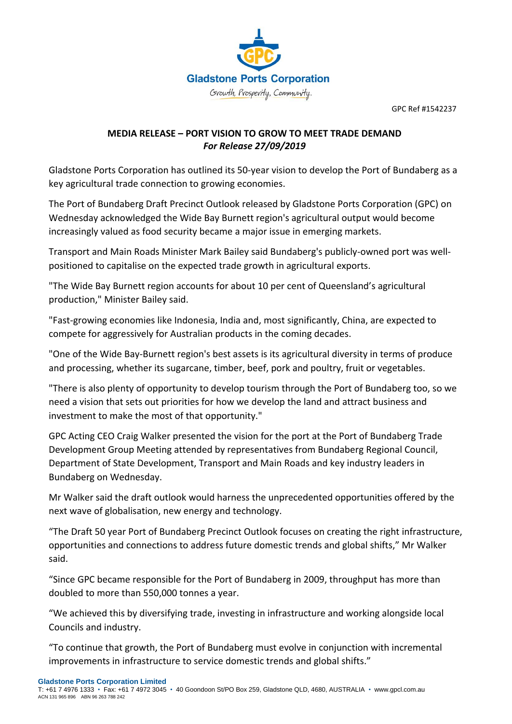

GPC Ref #1542237

## **MEDIA RELEASE – PORT VISION TO GROW TO MEET TRADE DEMAND**  *For Release 27/09/2019*

Gladstone Ports Corporation has outlined its 50-year vision to develop the Port of Bundaberg as a key agricultural trade connection to growing economies.

The Port of Bundaberg Draft Precinct Outlook released by Gladstone Ports Corporation (GPC) on Wednesday acknowledged the Wide Bay Burnett region's agricultural output would become increasingly valued as food security became a major issue in emerging markets.

Transport and Main Roads Minister Mark Bailey said Bundaberg's publicly-owned port was wellpositioned to capitalise on the expected trade growth in agricultural exports.

"The Wide Bay Burnett region accounts for about 10 per cent of Queensland's agricultural production," Minister Bailey said.

"Fast-growing economies like Indonesia, India and, most significantly, China, are expected to compete for aggressively for Australian products in the coming decades.

"One of the Wide Bay-Burnett region's best assets is its agricultural diversity in terms of produce and processing, whether its sugarcane, timber, beef, pork and poultry, fruit or vegetables.

"There is also plenty of opportunity to develop tourism through the Port of Bundaberg too, so we need a vision that sets out priorities for how we develop the land and attract business and investment to make the most of that opportunity."

GPC Acting CEO Craig Walker presented the vision for the port at the Port of Bundaberg Trade Development Group Meeting attended by representatives from Bundaberg Regional Council, Department of State Development, Transport and Main Roads and key industry leaders in Bundaberg on Wednesday.

Mr Walker said the draft outlook would harness the unprecedented opportunities offered by the next wave of globalisation, new energy and technology.

"The Draft 50 year Port of Bundaberg Precinct Outlook focuses on creating the right infrastructure, opportunities and connections to address future domestic trends and global shifts," Mr Walker said.

"Since GPC became responsible for the Port of Bundaberg in 2009, throughput has more than doubled to more than 550,000 tonnes a year.

"We achieved this by diversifying trade, investing in infrastructure and working alongside local Councils and industry.

"To continue that growth, the Port of Bundaberg must evolve in conjunction with incremental improvements in infrastructure to service domestic trends and global shifts."